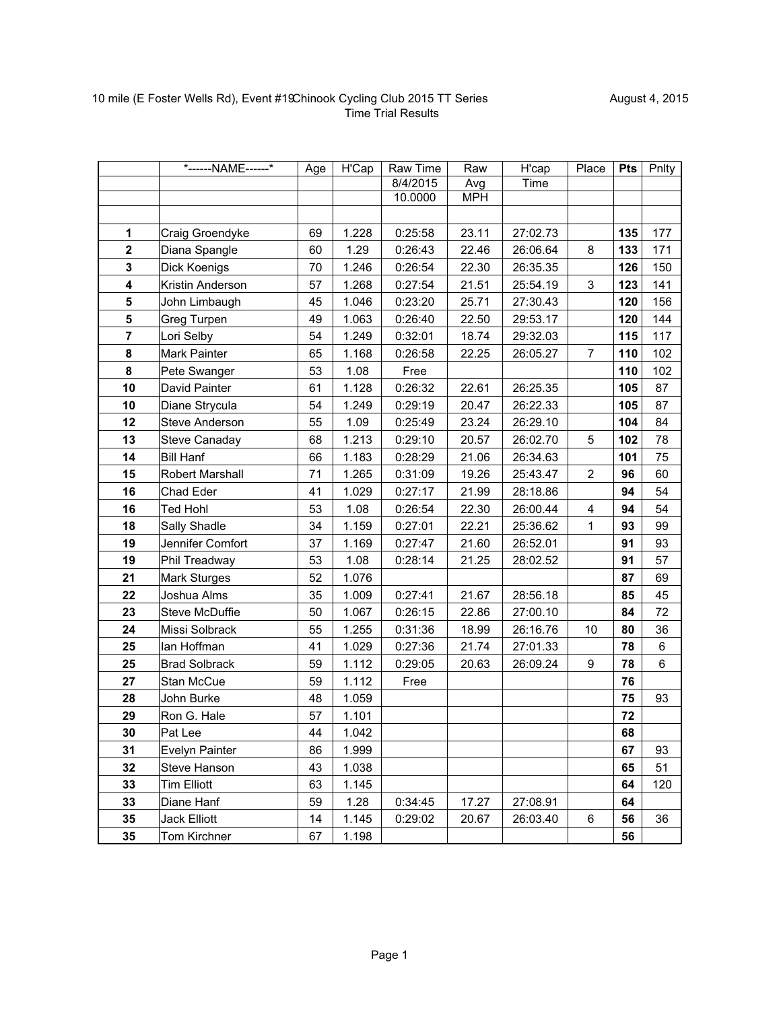|                         | *------NAME------*     | Age | $\overline{H}$ Cap | Raw Time | Raw        | H'cap    | Place          | <b>Pts</b> | Pnlty |
|-------------------------|------------------------|-----|--------------------|----------|------------|----------|----------------|------------|-------|
|                         |                        |     |                    | 8/4/2015 | Avg        | Time     |                |            |       |
|                         |                        |     |                    | 10.0000  | <b>MPH</b> |          |                |            |       |
|                         |                        |     |                    |          |            |          |                |            |       |
| $\mathbf{1}$            | Craig Groendyke        | 69  | 1.228              | 0:25:58  | 23.11      | 27:02.73 |                | 135        | 177   |
| $\mathbf{2}$            | Diana Spangle          | 60  | 1.29               | 0:26:43  | 22.46      | 26:06.64 | 8              | 133        | 171   |
| $\mathbf{3}$            | Dick Koenigs           | 70  | 1.246              | 0:26:54  | 22.30      | 26:35.35 |                | 126        | 150   |
| $\overline{\mathbf{4}}$ | Kristin Anderson       | 57  | 1.268              | 0:27:54  | 21.51      | 25:54.19 | 3              | 123        | 141   |
| 5                       | John Limbaugh          | 45  | 1.046              | 0:23:20  | 25.71      | 27:30.43 |                | 120        | 156   |
| 5                       | Greg Turpen            | 49  | 1.063              | 0:26:40  | 22.50      | 29:53.17 |                | 120        | 144   |
| $\overline{7}$          | Lori Selby             | 54  | 1.249              | 0:32:01  | 18.74      | 29:32.03 |                | 115        | 117   |
| 8                       | Mark Painter           | 65  | 1.168              | 0:26:58  | 22.25      | 26:05.27 | $\overline{7}$ | 110        | 102   |
| 8                       | Pete Swanger           | 53  | 1.08               | Free     |            |          |                | 110        | 102   |
| 10                      | David Painter          | 61  | 1.128              | 0:26:32  | 22.61      | 26:25.35 |                | 105        | 87    |
| 10                      | Diane Strycula         | 54  | 1.249              | 0:29:19  | 20.47      | 26:22.33 |                | 105        | 87    |
| 12                      | <b>Steve Anderson</b>  | 55  | 1.09               | 0:25:49  | 23.24      | 26:29.10 |                | 104        | 84    |
| 13                      | Steve Canaday          | 68  | 1.213              | 0:29:10  | 20.57      | 26:02.70 | 5              | 102        | 78    |
| 14                      | <b>Bill Hanf</b>       | 66  | 1.183              | 0:28:29  | 21.06      | 26:34.63 |                | 101        | 75    |
| 15                      | <b>Robert Marshall</b> | 71  | 1.265              | 0:31:09  | 19.26      | 25:43.47 | $\overline{2}$ | 96         | 60    |
| 16                      | Chad Eder              | 41  | 1.029              | 0:27:17  | 21.99      | 28:18.86 |                | 94         | 54    |
| 16                      | <b>Ted Hohl</b>        | 53  | 1.08               | 0:26:54  | 22.30      | 26:00.44 | 4              | 94         | 54    |
| 18                      | Sally Shadle           | 34  | 1.159              | 0:27:01  | 22.21      | 25:36.62 | 1              | 93         | 99    |
| 19                      | Jennifer Comfort       | 37  | 1.169              | 0:27:47  | 21.60      | 26:52.01 |                | 91         | 93    |
| 19                      | Phil Treadway          | 53  | 1.08               | 0:28:14  | 21.25      | 28:02.52 |                | 91         | 57    |
| 21                      | Mark Sturges           | 52  | 1.076              |          |            |          |                | 87         | 69    |
| 22                      | Joshua Alms            | 35  | 1.009              | 0:27:41  | 21.67      | 28:56.18 |                | 85         | 45    |
| 23                      | Steve McDuffie         | 50  | 1.067              | 0:26:15  | 22.86      | 27:00.10 |                | 84         | 72    |
| 24                      | Missi Solbrack         | 55  | 1.255              | 0:31:36  | 18.99      | 26:16.76 | 10             | 80         | 36    |
| 25                      | lan Hoffman            | 41  | 1.029              | 0:27:36  | 21.74      | 27:01.33 |                | 78         | 6     |
| 25                      | <b>Brad Solbrack</b>   | 59  | 1.112              | 0:29:05  | 20.63      | 26:09.24 | 9              | 78         | 6     |
| 27                      | Stan McCue             | 59  | 1.112              | Free     |            |          |                | 76         |       |
| 28                      | John Burke             | 48  | 1.059              |          |            |          |                | 75         | 93    |
| 29                      | Ron G. Hale            | 57  | 1.101              |          |            |          |                | 72         |       |
| 30                      | Pat Lee                | 44  | 1.042              |          |            |          |                | 68         |       |
| 31                      | <b>Evelyn Painter</b>  | 86  | 1.999              |          |            |          |                | 67         | 93    |
| 32                      | Steve Hanson           | 43  | 1.038              |          |            |          |                | 65         | 51    |
| 33                      | <b>Tim Elliott</b>     | 63  | 1.145              |          |            |          |                | 64         | 120   |
| 33                      | Diane Hanf             | 59  | 1.28               | 0:34:45  | 17.27      | 27:08.91 |                | 64         |       |
| 35                      | <b>Jack Elliott</b>    | 14  | 1.145              | 0:29:02  | 20.67      | 26:03.40 | 6              | 56         | 36    |
| 35                      | Tom Kirchner           | 67  | 1.198              |          |            |          |                | 56         |       |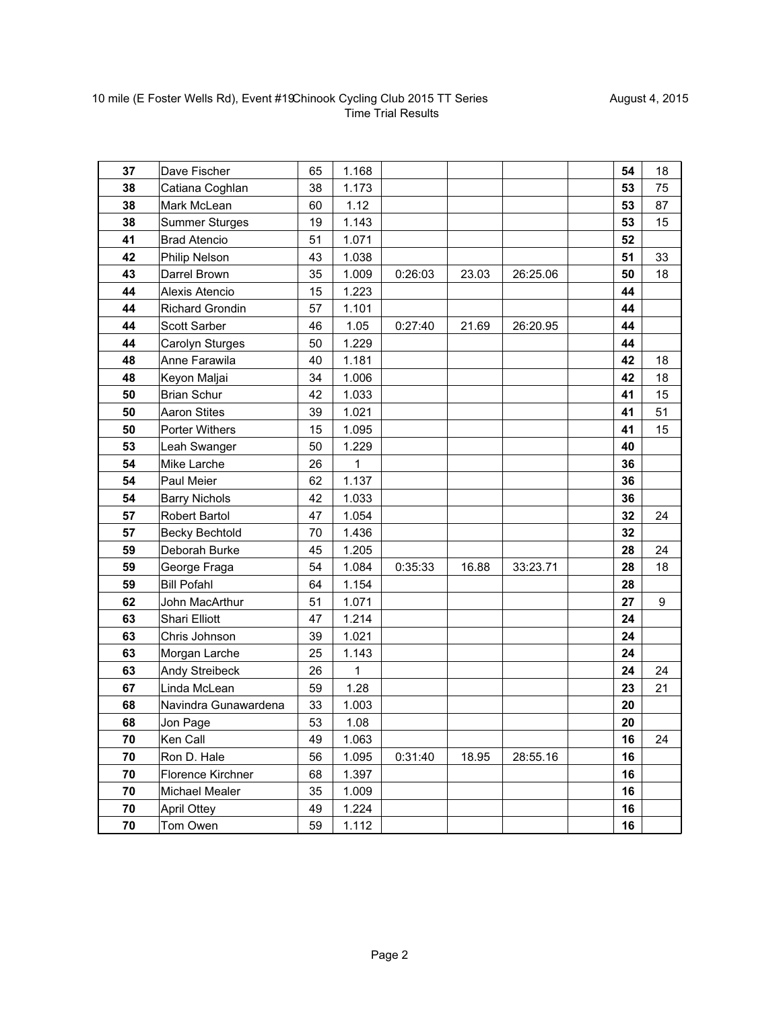| 37 | Dave Fischer           | 65 | 1.168 |         |       |          | 54 | 18 |
|----|------------------------|----|-------|---------|-------|----------|----|----|
| 38 | Catiana Coghlan        | 38 | 1.173 |         |       |          | 53 | 75 |
| 38 | Mark McLean            | 60 | 1.12  |         |       |          | 53 | 87 |
| 38 | <b>Summer Sturges</b>  | 19 | 1.143 |         |       |          | 53 | 15 |
| 41 | <b>Brad Atencio</b>    | 51 | 1.071 |         |       |          | 52 |    |
| 42 | Philip Nelson          | 43 | 1.038 |         |       |          | 51 | 33 |
| 43 | Darrel Brown           | 35 | 1.009 | 0:26:03 | 23.03 | 26:25.06 | 50 | 18 |
| 44 | Alexis Atencio         | 15 | 1.223 |         |       |          | 44 |    |
| 44 | <b>Richard Grondin</b> | 57 | 1.101 |         |       |          | 44 |    |
| 44 | <b>Scott Sarber</b>    | 46 | 1.05  | 0:27:40 | 21.69 | 26:20.95 | 44 |    |
| 44 | Carolyn Sturges        | 50 | 1.229 |         |       |          | 44 |    |
| 48 | Anne Farawila          | 40 | 1.181 |         |       |          | 42 | 18 |
| 48 | Keyon Maljai           | 34 | 1.006 |         |       |          | 42 | 18 |
| 50 | <b>Brian Schur</b>     | 42 | 1.033 |         |       |          | 41 | 15 |
| 50 | <b>Aaron Stites</b>    | 39 | 1.021 |         |       |          | 41 | 51 |
| 50 | Porter Withers         | 15 | 1.095 |         |       |          | 41 | 15 |
| 53 | Leah Swanger           | 50 | 1.229 |         |       |          | 40 |    |
| 54 | Mike Larche            | 26 | 1     |         |       |          | 36 |    |
| 54 | Paul Meier             | 62 | 1.137 |         |       |          | 36 |    |
| 54 | <b>Barry Nichols</b>   | 42 | 1.033 |         |       |          | 36 |    |
| 57 | Robert Bartol          | 47 | 1.054 |         |       |          | 32 | 24 |
| 57 | <b>Becky Bechtold</b>  | 70 | 1.436 |         |       |          | 32 |    |
| 59 | Deborah Burke          | 45 | 1.205 |         |       |          | 28 | 24 |
| 59 | George Fraga           | 54 | 1.084 | 0:35:33 | 16.88 | 33:23.71 | 28 | 18 |
| 59 | <b>Bill Pofahl</b>     | 64 | 1.154 |         |       |          | 28 |    |
| 62 | John MacArthur         | 51 | 1.071 |         |       |          | 27 | 9  |
| 63 | Shari Elliott          | 47 | 1.214 |         |       |          | 24 |    |
| 63 | Chris Johnson          | 39 | 1.021 |         |       |          | 24 |    |
| 63 | Morgan Larche          | 25 | 1.143 |         |       |          | 24 |    |
| 63 | Andy Streibeck         | 26 | 1     |         |       |          | 24 | 24 |
| 67 | Linda McLean           | 59 | 1.28  |         |       |          | 23 | 21 |
| 68 | Navindra Gunawardena   | 33 | 1.003 |         |       |          | 20 |    |
| 68 | Jon Page               | 53 | 1.08  |         |       |          | 20 |    |
| 70 | Ken Call               | 49 | 1.063 |         |       |          | 16 | 24 |
| 70 | Ron D. Hale            | 56 | 1.095 | 0:31:40 | 18.95 | 28:55.16 | 16 |    |
| 70 | Florence Kirchner      | 68 | 1.397 |         |       |          | 16 |    |
| 70 | Michael Mealer         | 35 | 1.009 |         |       |          | 16 |    |
| 70 | <b>April Ottey</b>     | 49 | 1.224 |         |       |          | 16 |    |
| 70 | Tom Owen               | 59 | 1.112 |         |       |          | 16 |    |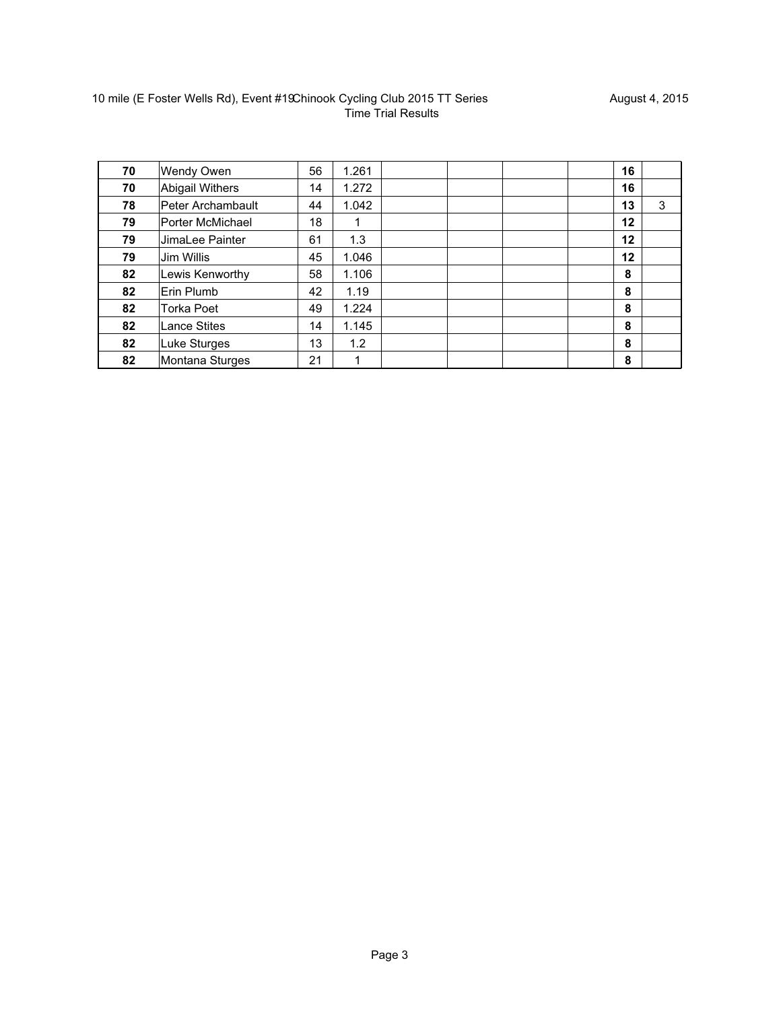| 70 | Wendy Owen             | 56 | 1.261 |  | 16 |   |
|----|------------------------|----|-------|--|----|---|
| 70 | <b>Abigail Withers</b> | 14 | 1.272 |  | 16 |   |
| 78 | Peter Archambault      | 44 | 1.042 |  | 13 | 3 |
| 79 | Porter McMichael       | 18 |       |  | 12 |   |
| 79 | JimaLee Painter        | 61 | 1.3   |  | 12 |   |
| 79 | Jim Willis             | 45 | 1.046 |  | 12 |   |
| 82 | Lewis Kenworthy        | 58 | 1.106 |  | 8  |   |
| 82 | Erin Plumb             | 42 | 1.19  |  | 8  |   |
| 82 | <b>Torka Poet</b>      | 49 | 1.224 |  | 8  |   |
| 82 | <b>Lance Stites</b>    | 14 | 1.145 |  | 8  |   |
| 82 | Luke Sturges           | 13 | 1.2   |  | 8  |   |
| 82 | Montana Sturges        | 21 | 1     |  | 8  |   |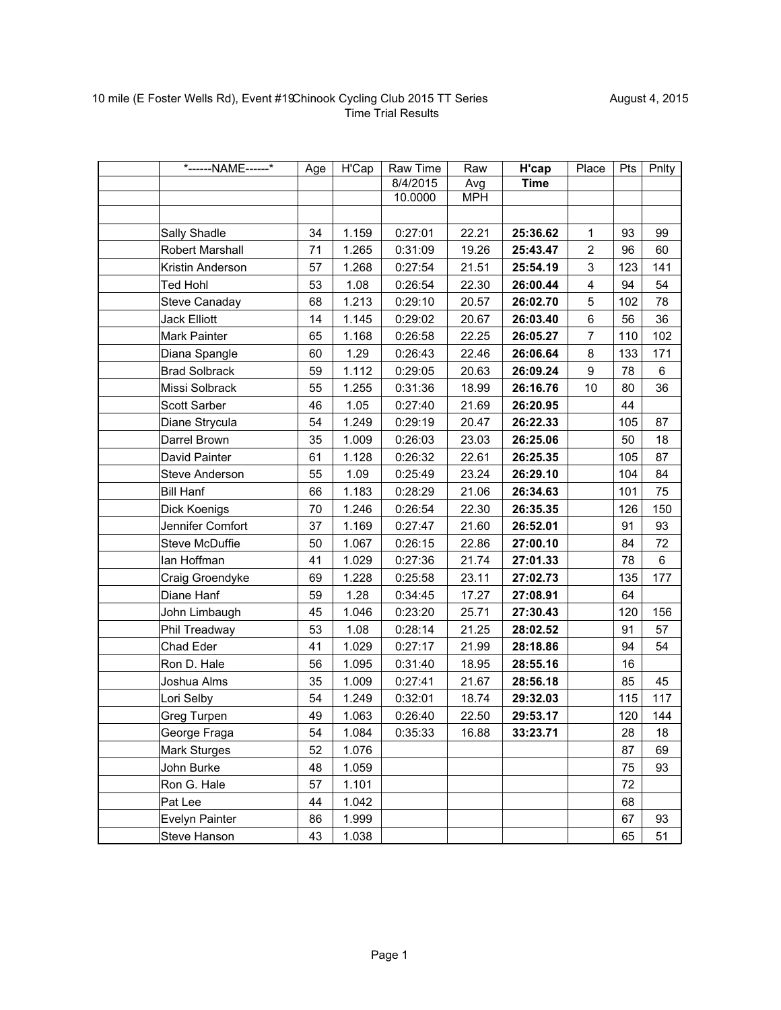|                      | *------NAME------* | Age | H'Cap | Raw Time | Raw        | H'cap       | Place                   | Pts | Pnlty |
|----------------------|--------------------|-----|-------|----------|------------|-------------|-------------------------|-----|-------|
|                      |                    |     |       | 8/4/2015 | Avg        | <b>Time</b> |                         |     |       |
|                      |                    |     |       | 10.0000  | <b>MPH</b> |             |                         |     |       |
|                      |                    |     |       |          |            |             |                         |     |       |
| Sally Shadle         |                    | 34  | 1.159 | 0:27:01  | 22.21      | 25:36.62    | 1                       | 93  | 99    |
| Robert Marshall      |                    | 71  | 1.265 | 0:31:09  | 19.26      | 25:43.47    | $\overline{c}$          | 96  | 60    |
| Kristin Anderson     |                    | 57  | 1.268 | 0:27:54  | 21.51      | 25:54.19    | 3                       | 123 | 141   |
| <b>Ted Hohl</b>      |                    | 53  | 1.08  | 0:26:54  | 22.30      | 26:00.44    | $\overline{\mathbf{4}}$ | 94  | 54    |
| Steve Canaday        |                    | 68  | 1.213 | 0:29:10  | 20.57      | 26:02.70    | 5                       | 102 | 78    |
| <b>Jack Elliott</b>  |                    | 14  | 1.145 | 0:29:02  | 20.67      | 26:03.40    | $\,6\,$                 | 56  | 36    |
| Mark Painter         |                    | 65  | 1.168 | 0:26:58  | 22.25      | 26:05.27    | $\overline{7}$          | 110 | 102   |
| Diana Spangle        |                    | 60  | 1.29  | 0:26:43  | 22.46      | 26:06.64    | 8                       | 133 | 171   |
| <b>Brad Solbrack</b> |                    | 59  | 1.112 | 0:29:05  | 20.63      | 26:09.24    | 9                       | 78  | 6     |
| Missi Solbrack       |                    | 55  | 1.255 | 0:31:36  | 18.99      | 26:16.76    | 10                      | 80  | 36    |
| Scott Sarber         |                    | 46  | 1.05  | 0:27:40  | 21.69      | 26:20.95    |                         | 44  |       |
| Diane Strycula       |                    | 54  | 1.249 | 0:29:19  | 20.47      | 26:22.33    |                         | 105 | 87    |
| Darrel Brown         |                    | 35  | 1.009 | 0:26:03  | 23.03      | 26:25.06    |                         | 50  | 18    |
| David Painter        |                    | 61  | 1.128 | 0:26:32  | 22.61      | 26:25.35    |                         | 105 | 87    |
| Steve Anderson       |                    | 55  | 1.09  | 0:25:49  | 23.24      | 26:29.10    |                         | 104 | 84    |
| <b>Bill Hanf</b>     |                    | 66  | 1.183 | 0:28:29  | 21.06      | 26:34.63    |                         | 101 | 75    |
| Dick Koenigs         |                    | 70  | 1.246 | 0:26:54  | 22.30      | 26:35.35    |                         | 126 | 150   |
| Jennifer Comfort     |                    | 37  | 1.169 | 0:27:47  | 21.60      | 26:52.01    |                         | 91  | 93    |
| Steve McDuffie       |                    | 50  | 1.067 | 0:26:15  | 22.86      | 27:00.10    |                         | 84  | 72    |
| lan Hoffman          |                    | 41  | 1.029 | 0:27:36  | 21.74      | 27:01.33    |                         | 78  | 6     |
| Craig Groendyke      |                    | 69  | 1.228 | 0:25:58  | 23.11      | 27:02.73    |                         | 135 | 177   |
| Diane Hanf           |                    | 59  | 1.28  | 0:34:45  | 17.27      | 27:08.91    |                         | 64  |       |
| John Limbaugh        |                    | 45  | 1.046 | 0:23:20  | 25.71      | 27:30.43    |                         | 120 | 156   |
| Phil Treadway        |                    | 53  | 1.08  | 0:28:14  | 21.25      | 28:02.52    |                         | 91  | 57    |
| Chad Eder            |                    | 41  | 1.029 | 0:27:17  | 21.99      | 28:18.86    |                         | 94  | 54    |
| Ron D. Hale          |                    | 56  | 1.095 | 0:31:40  | 18.95      | 28:55.16    |                         | 16  |       |
| Joshua Alms          |                    | 35  | 1.009 | 0:27:41  | 21.67      | 28:56.18    |                         | 85  | 45    |
| Lori Selby           |                    | 54  | 1.249 | 0:32:01  | 18.74      | 29:32.03    |                         | 115 | 117   |
| Greg Turpen          |                    | 49  | 1.063 | 0:26:40  | 22.50      | 29:53.17    |                         | 120 | 144   |
| George Fraga         |                    | 54  | 1.084 | 0:35:33  | 16.88      | 33:23.71    |                         | 28  | 18    |
| Mark Sturges         |                    | 52  | 1.076 |          |            |             |                         | 87  | 69    |
| John Burke           |                    | 48  | 1.059 |          |            |             |                         | 75  | 93    |
| Ron G. Hale          |                    | 57  | 1.101 |          |            |             |                         | 72  |       |
| Pat Lee              |                    | 44  | 1.042 |          |            |             |                         | 68  |       |
| Evelyn Painter       |                    | 86  | 1.999 |          |            |             |                         | 67  | 93    |
| Steve Hanson         |                    | 43  | 1.038 |          |            |             |                         | 65  | 51    |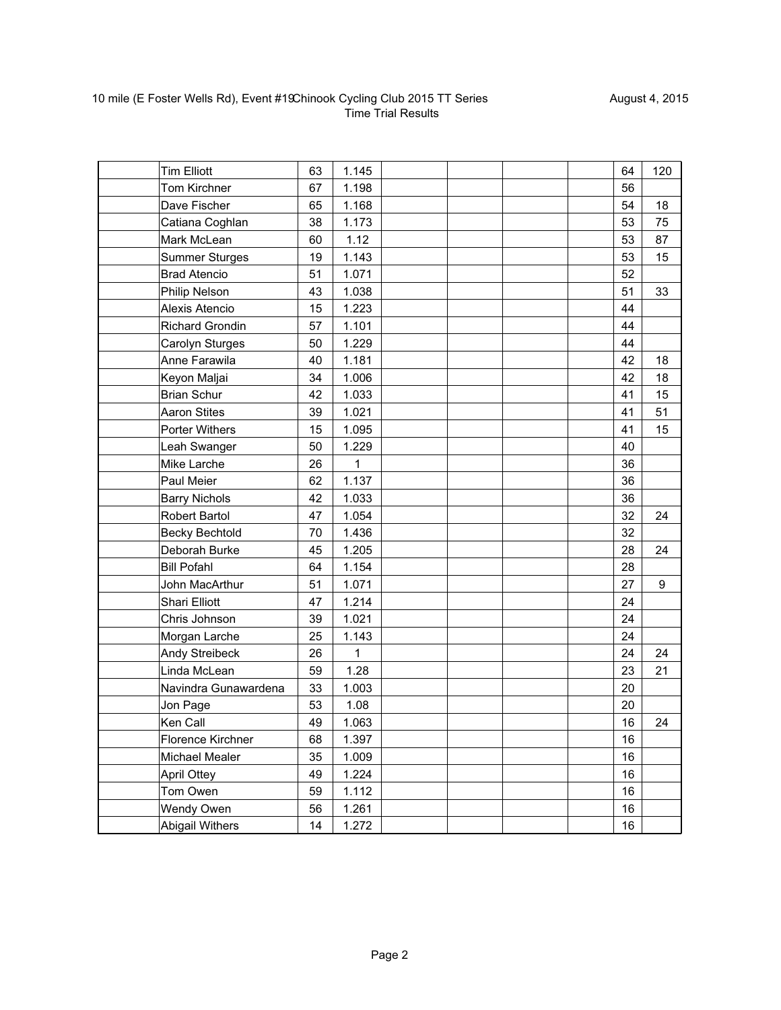| <b>Tim Elliott</b>    |                      | 63 | 1.145        |  | 64 | 120 |
|-----------------------|----------------------|----|--------------|--|----|-----|
| Tom Kirchner          |                      | 67 | 1.198        |  | 56 |     |
| Dave Fischer          |                      | 65 | 1.168        |  | 54 | 18  |
| Catiana Coghlan       |                      | 38 | 1.173        |  | 53 | 75  |
| Mark McLean           |                      | 60 | 1.12         |  | 53 | 87  |
| <b>Summer Sturges</b> |                      | 19 | 1.143        |  | 53 | 15  |
| <b>Brad Atencio</b>   |                      | 51 | 1.071        |  | 52 |     |
| <b>Philip Nelson</b>  |                      | 43 | 1.038        |  | 51 | 33  |
| Alexis Atencio        |                      | 15 | 1.223        |  | 44 |     |
| Richard Grondin       |                      | 57 | 1.101        |  | 44 |     |
| Carolyn Sturges       |                      | 50 | 1.229        |  | 44 |     |
| Anne Farawila         |                      | 40 | 1.181        |  | 42 | 18  |
| Keyon Maljai          |                      | 34 | 1.006        |  | 42 | 18  |
| <b>Brian Schur</b>    |                      | 42 | 1.033        |  | 41 | 15  |
| <b>Aaron Stites</b>   |                      | 39 | 1.021        |  | 41 | 51  |
| Porter Withers        |                      | 15 | 1.095        |  | 41 | 15  |
| Leah Swanger          |                      | 50 | 1.229        |  | 40 |     |
| Mike Larche           |                      | 26 | $\mathbf{1}$ |  | 36 |     |
| Paul Meier            |                      | 62 | 1.137        |  | 36 |     |
| <b>Barry Nichols</b>  |                      | 42 | 1.033        |  | 36 |     |
| <b>Robert Bartol</b>  |                      | 47 | 1.054        |  | 32 | 24  |
| <b>Becky Bechtold</b> |                      | 70 | 1.436        |  | 32 |     |
| Deborah Burke         |                      | 45 | 1.205        |  | 28 | 24  |
| <b>Bill Pofahl</b>    |                      | 64 | 1.154        |  | 28 |     |
| John MacArthur        |                      | 51 | 1.071        |  | 27 | 9   |
| Shari Elliott         |                      | 47 | 1.214        |  | 24 |     |
| Chris Johnson         |                      | 39 | 1.021        |  | 24 |     |
| Morgan Larche         |                      | 25 | 1.143        |  | 24 |     |
| Andy Streibeck        |                      | 26 | 1            |  | 24 | 24  |
| Linda McLean          |                      | 59 | 1.28         |  | 23 | 21  |
|                       | Navindra Gunawardena | 33 | 1.003        |  | 20 |     |
| Jon Page              |                      | 53 | 1.08         |  | 20 |     |
| Ken Call              |                      | 49 | 1.063        |  | 16 | 24  |
| Florence Kirchner     |                      | 68 | 1.397        |  | 16 |     |
| Michael Mealer        |                      | 35 | 1.009        |  | 16 |     |
| <b>April Ottey</b>    |                      | 49 | 1.224        |  | 16 |     |
| Tom Owen              |                      | 59 | 1.112        |  | 16 |     |
| Wendy Owen            |                      | 56 | 1.261        |  | 16 |     |
| Abigail Withers       |                      | 14 | 1.272        |  | 16 |     |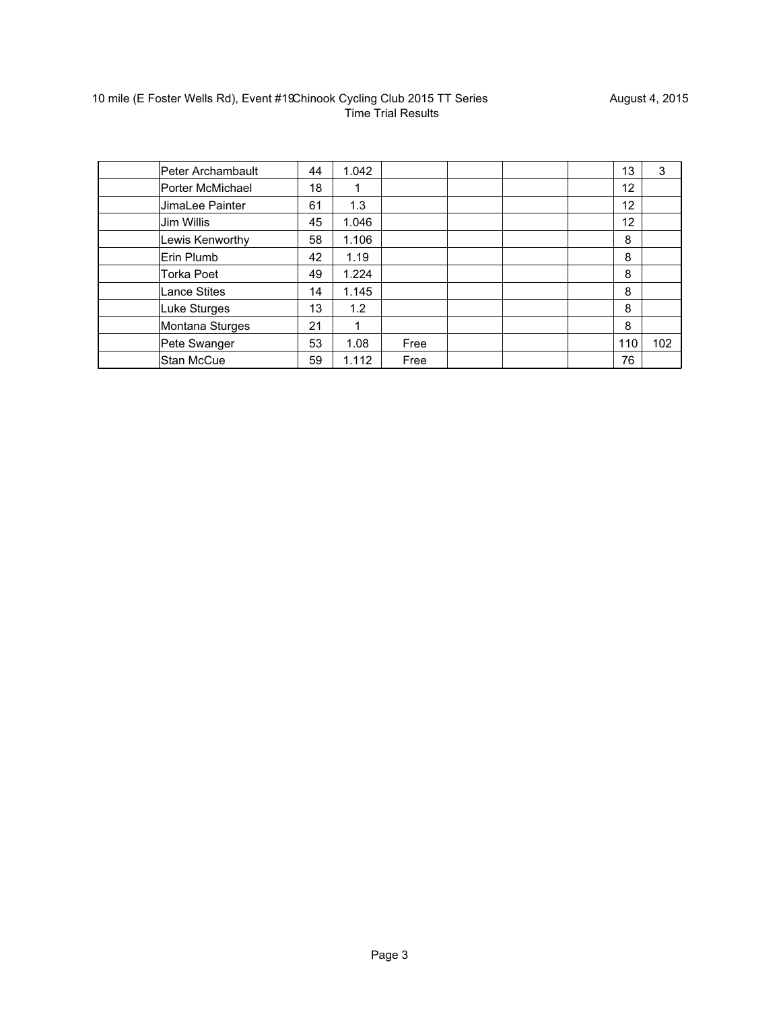| Peter Archambault   | 44 | 1.042 |      |  | 13                | 3   |
|---------------------|----|-------|------|--|-------------------|-----|
| Porter McMichael    | 18 |       |      |  | 12                |     |
| JimaLee Painter     | 61 | 1.3   |      |  | 12                |     |
| Jim Willis          | 45 | 1.046 |      |  | $12 \overline{ }$ |     |
| Lewis Kenworthy     | 58 | 1.106 |      |  | 8                 |     |
| Erin Plumb          | 42 | 1.19  |      |  | 8                 |     |
| <b>Torka Poet</b>   | 49 | 1.224 |      |  | 8                 |     |
| <b>Lance Stites</b> | 14 | 1.145 |      |  | 8                 |     |
| Luke Sturges        | 13 | 1.2   |      |  | 8                 |     |
| Montana Sturges     | 21 |       |      |  | 8                 |     |
| Pete Swanger        | 53 | 1.08  | Free |  | 110               | 102 |
| Stan McCue          | 59 | 1.112 | Free |  | 76                |     |